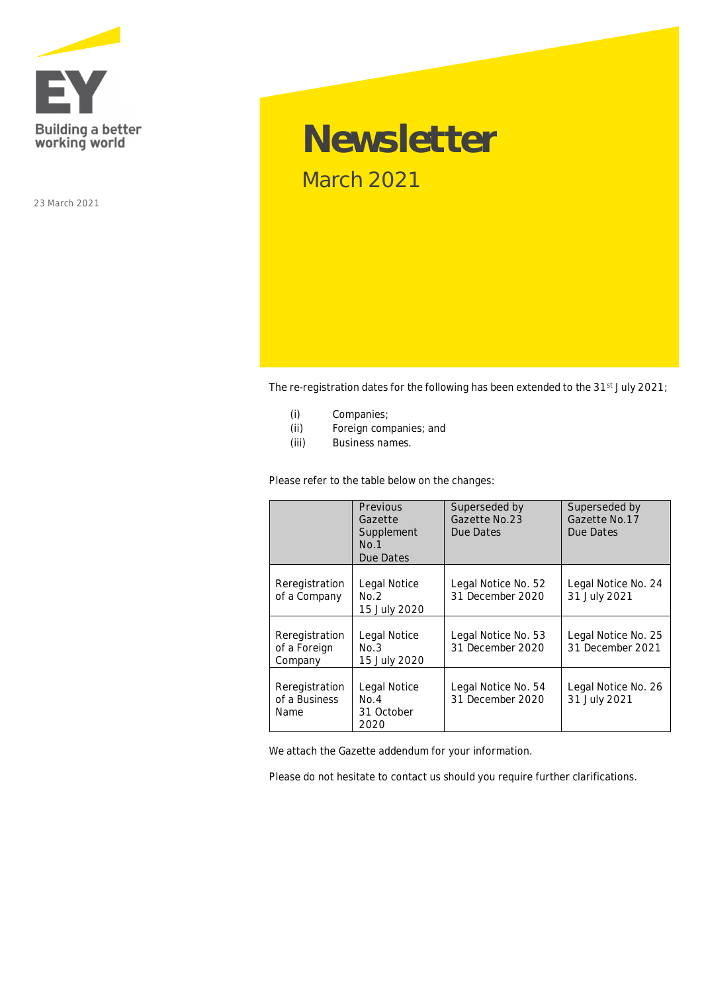

23 March 2021

# **Newsletter** March 2021

The re-registration dates for the following has been extended to the 31<sup>st</sup> July 2021;

- (i) Companies;
- (ii) Foreign companies; and
- (iii) Business names.

Please refer to the table below on the changes:

|                                           | Previous<br>Gazette<br>Supplement<br>No.1<br>Due Dates | Superseded by<br>Gazette No.23<br>Due Dates | Superseded by<br>Gazette No.17<br>Due Dates |
|-------------------------------------------|--------------------------------------------------------|---------------------------------------------|---------------------------------------------|
| Reregistration<br>of a Company            | Legal Notice<br>No.2<br>15 July 2020                   | Legal Notice No. 52<br>31 December 2020     | Legal Notice No. 24<br>31 July 2021         |
| Reregistration<br>of a Foreign<br>Company | Legal Notice<br>No.3<br>15 July 2020                   | Legal Notice No. 53<br>31 December 2020     | Legal Notice No. 25<br>31 December 2021     |
| Reregistration<br>of a Business<br>Name   | Legal Notice<br>No.4<br>31 October<br>2020             | Legal Notice No. 54<br>31 December 2020     | Legal Notice No. 26<br>31 July 2021         |

We attach the Gazette addendum for your information.

Please do not hesitate to contact us should you require further clarifications.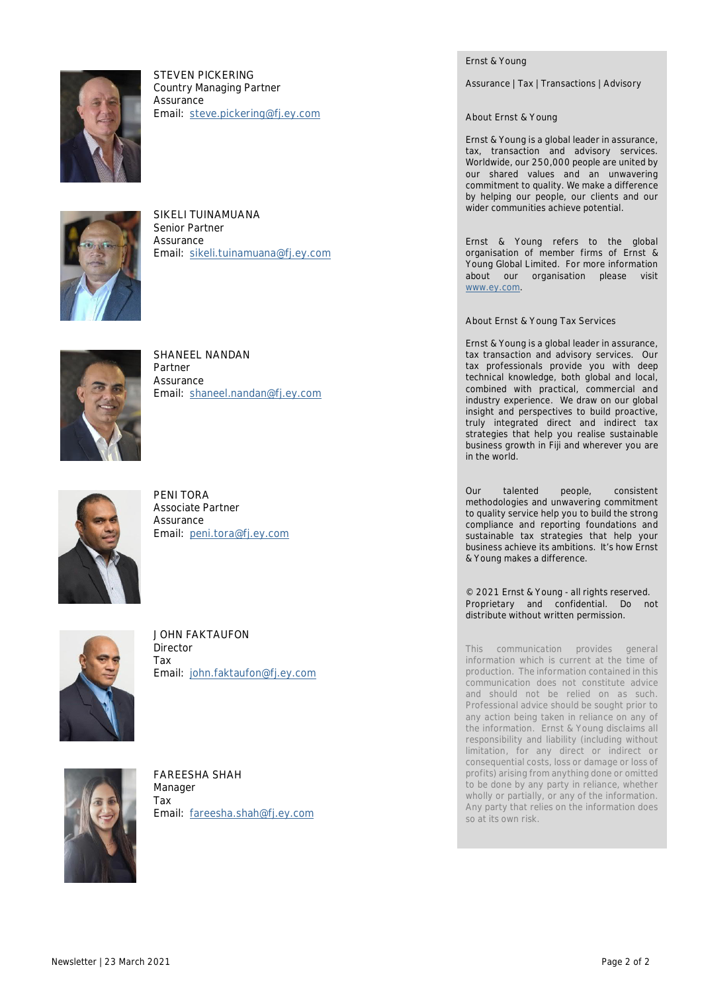

**STEVEN PICKERING** Country Managing Partner **Assurance Email: steve.pickering@fj.ey.com**



**SIKELI TUINAMUANA** Senior Partner **Assurance Email: sikeli.tuinamuana@fj.ey.com**



**SHANEEL NANDAN** Partner Assurance **Email: shaneel.nandan@fj.ey.com**



**PENI TORA** Associate Partner **Assurance Email: peni.tora@fj.ey.com**



**JOHN FAKTAUFON** Director Tax **Email: john.faktaufon@fj.ey.com**



**FAREESHA SHAH** Manager Tax **Email: fareesha.shah@fj.ey.com** Ernst & Young

Assurance | Tax | Transactions | Advisory

**About Ernst & Young**

Ernst & Young is a global leader in assurance, tax, transaction and advisory services. Worldwide, our 250,000 people are united by our shared values and an unwavering commitment to quality. We make a difference by helping our people, our clients and our wider communities achieve potential.

Ernst & Young refers to the global organisation of member firms of Ernst & Young Global Limited. For more information about our organisation please visit www.ey.com.

**About Ernst & Young Tax Services**

Ernst & Young is a global leader in assurance, tax transaction and advisory services. Our tax professionals provide you with deep technical knowledge, both global and local, combined with practical, commercial and industry experience. We draw on our global insight and perspectives to build proactive, truly integrated direct and indirect tax strategies that help you realise sustainable business growth in Fiji and wherever you are in the world.

Our talented people, consistent methodologies and unwavering commitment to quality service help you to build the strong compliance and reporting foundations and sustainable tax strategies that help your business achieve its ambitions. It's how Ernst & Young makes a difference.

© 2021 Ernst & Young - all rights reserved. Proprietary and confidential. Do not distribute without written permission.

This communication provides general information which is current at the time of production. The information contained in this communication does not constitute advice and should not be relied on as such. Professional advice should be sought prior to any action being taken in reliance on any of the information. Ernst & Young disclaims all responsibility and liability (including without limitation, for any direct or indirect or consequential costs, loss or damage or loss of profits) arising from anything done or omitted to be done by any party in reliance, whether wholly or partially, or any of the information. Any party that relies on the information does so at its own risk.